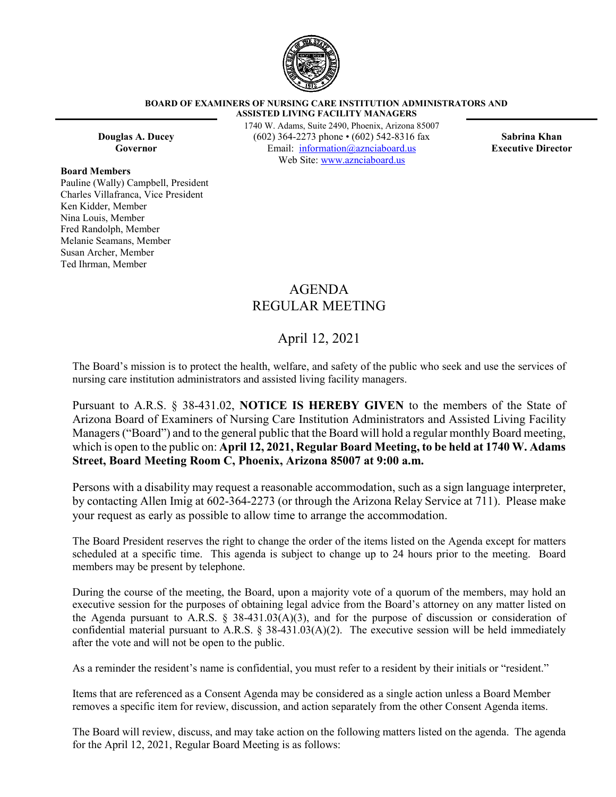

#### **BOARD OF EXAMINERS OF NURSING CARE INSTITUTION ADMINISTRATORS AND ASSISTED LIVING FACILITY MANAGERS**

**Board Members**

Pauline (Wally) Campbell, President Charles Villafranca, Vice President Ken Kidder, Member Nina Louis, Member Fred Randolph, Member Melanie Seamans, Member Susan Archer, Member Ted Ihrman, Member

1740 W. Adams, Suite 2490, Phoenix, Arizona 85007 **Douglas A. Ducey** (602) 364-2273 phone • (602) 542-8316 fax **Sabrina Khan Governor** Email: [information@aznciaboard.us](mailto:information@aznciaboard.us) **Executive Director** Web Site: [www.aznciaboard.us](http://www.aznciaboard.us/)

# AGENDA REGULAR MEETING

# April 12, 2021

The Board's mission is to protect the health, welfare, and safety of the public who seek and use the services of nursing care institution administrators and assisted living facility managers.

Pursuant to A.R.S. § 38-431.02, **NOTICE IS HEREBY GIVEN** to the members of the State of Arizona Board of Examiners of Nursing Care Institution Administrators and Assisted Living Facility Managers ("Board") and to the general public that the Board will hold a regular monthly Board meeting, which is open to the public on: **April 12, 2021, Regular Board Meeting, to be held at 1740 W. Adams Street, Board Meeting Room C, Phoenix, Arizona 85007 at 9:00 a.m.**

Persons with a disability may request a reasonable accommodation, such as a sign language interpreter, by contacting Allen Imig at 602-364-2273 (or through the Arizona Relay Service at 711). Please make your request as early as possible to allow time to arrange the accommodation.

The Board President reserves the right to change the order of the items listed on the Agenda except for matters scheduled at a specific time. This agenda is subject to change up to 24 hours prior to the meeting. Board members may be present by telephone.

During the course of the meeting, the Board, upon a majority vote of a quorum of the members, may hold an executive session for the purposes of obtaining legal advice from the Board's attorney on any matter listed on the Agenda pursuant to A.R.S. § 38-431.03(A)(3), and for the purpose of discussion or consideration of confidential material pursuant to A.R.S.  $\S$  38-431.03(A)(2). The executive session will be held immediately after the vote and will not be open to the public.

As a reminder the resident's name is confidential, you must refer to a resident by their initials or "resident."

Items that are referenced as a Consent Agenda may be considered as a single action unless a Board Member removes a specific item for review, discussion, and action separately from the other Consent Agenda items.

The Board will review, discuss, and may take action on the following matters listed on the agenda. The agenda for the April 12, 2021, Regular Board Meeting is as follows: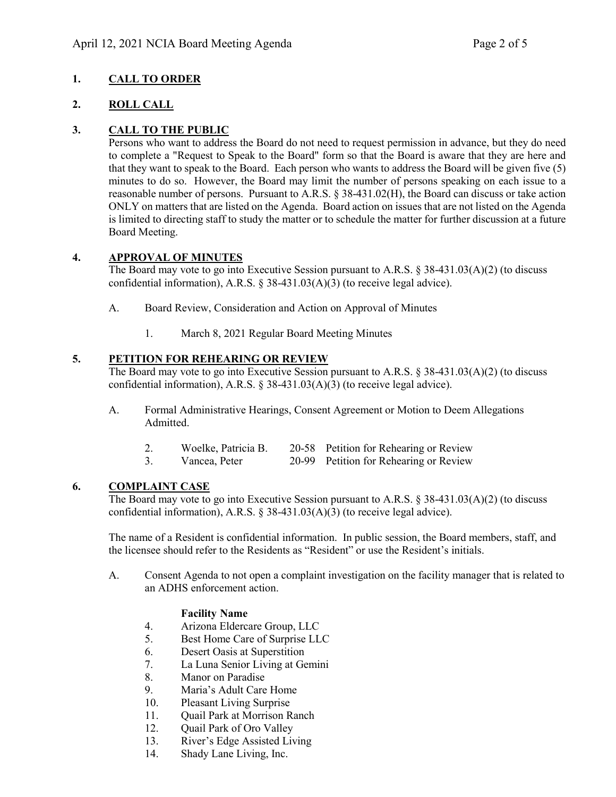# **1. CALL TO ORDER**

### **2. ROLL CALL**

# **3. CALL TO THE PUBLIC**

Persons who want to address the Board do not need to request permission in advance, but they do need to complete a "Request to Speak to the Board" form so that the Board is aware that they are here and that they want to speak to the Board. Each person who wants to address the Board will be given five (5) minutes to do so. However, the Board may limit the number of persons speaking on each issue to a reasonable number of persons. Pursuant to A.R.S. § 38-431.02(H), the Board can discuss or take action ONLY on matters that are listed on the Agenda. Board action on issues that are not listed on the Agenda is limited to directing staff to study the matter or to schedule the matter for further discussion at a future Board Meeting.

### **4. APPROVAL OF MINUTES**

The Board may vote to go into Executive Session pursuant to A.R.S. § 38-431.03(A)(2) (to discuss confidential information), A.R.S. § 38-431.03(A)(3) (to receive legal advice).

- A. Board Review, Consideration and Action on Approval of Minutes
	- 1. March 8, 2021 Regular Board Meeting Minutes

### **5. PETITION FOR REHEARING OR REVIEW**

The Board may vote to go into Executive Session pursuant to A.R.S. § 38-431.03(A)(2) (to discuss confidential information), A.R.S. § 38-431.03(A)(3) (to receive legal advice).

- A. Formal Administrative Hearings, Consent Agreement or Motion to Deem Allegations Admitted.
	- 2. Woelke, Patricia B. 20-58 Petition for Rehearing or Review<br>3. Vancea. Peter 20-99 Petition for Rehearing or Review
		- 20-99 Petition for Rehearing or Review

### **6. COMPLAINT CASE**

The Board may vote to go into Executive Session pursuant to A.R.S. § 38-431.03(A)(2) (to discuss confidential information), A.R.S.  $\S$  38-431.03(A)(3) (to receive legal advice).

The name of a Resident is confidential information. In public session, the Board members, staff, and the licensee should refer to the Residents as "Resident" or use the Resident's initials.

A. Consent Agenda to not open a complaint investigation on the facility manager that is related to an ADHS enforcement action.

#### **Facility Name**

- 4. Arizona Eldercare Group, LLC
- 5. Best Home Care of Surprise LLC
- 6. Desert Oasis at Superstition
- 7. La Luna Senior Living at Gemini
- 8. Manor on Paradise
- 9. Maria's Adult Care Home
- 10. Pleasant Living Surprise
- 11. Quail Park at Morrison Ranch
- 12. Ouail Park of Oro Valley
- 13. River's Edge Assisted Living
- 14. Shady Lane Living, Inc.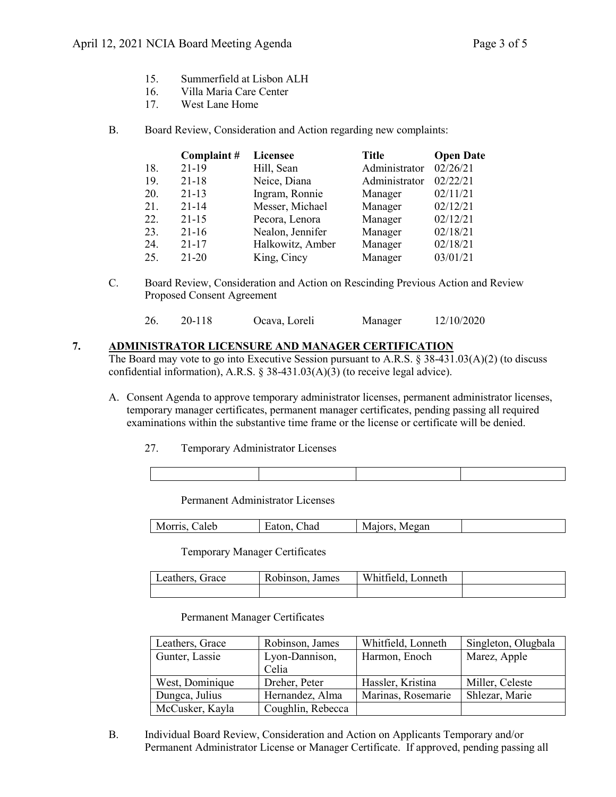- 15. Summerfield at Lisbon ALH
- 16. Villa Maria Care Center
- 17. West Lane Home
- B. Board Review, Consideration and Action regarding new complaints:

|     | Complaint# | <b>Licensee</b>  | <b>Title</b>  | <b>Open Date</b> |
|-----|------------|------------------|---------------|------------------|
| 18. | $21-19$    | Hill, Sean       | Administrator | 02/26/21         |
| 19. | $21 - 18$  | Neice, Diana     | Administrator | 02/22/21         |
| 20. | $21 - 13$  | Ingram, Ronnie   | Manager       | 02/11/21         |
| 21. | $21 - 14$  | Messer, Michael  | Manager       | 02/12/21         |
| 22. | $21 - 15$  | Pecora, Lenora   | Manager       | 02/12/21         |
| 23. | $21-16$    | Nealon, Jennifer | Manager       | 02/18/21         |
| 24. | $21 - 17$  | Halkowitz, Amber | Manager       | 02/18/21         |
| 25. | $21 - 20$  | King, Cincy      | Manager       | 03/01/21         |

C. Board Review, Consideration and Action on Rescinding Previous Action and Review Proposed Consent Agreement

| 26. | 20-118 | Ocava, Loreli | Manager | 12/10/2020 |
|-----|--------|---------------|---------|------------|
|-----|--------|---------------|---------|------------|

#### **7. ADMINISTRATOR LICENSURE AND MANAGER CERTIFICATION**

The Board may vote to go into Executive Session pursuant to A.R.S. § 38-431.03(A)(2) (to discuss confidential information), A.R.S. § 38-431.03(A)(3) (to receive legal advice).

- A. Consent Agenda to approve temporary administrator licenses, permanent administrator licenses, temporary manager certificates, permanent manager certificates, pending passing all required examinations within the substantive time frame or the license or certificate will be denied.
	- 27. Temporary Administrator Licenses

Permanent Administrator Licenses

|  | $\sim$ 1000 1 $\sim$<br>aleb<br>M | had<br>$ -$<br>-alon | ---<br>Megan<br>N |  |
|--|-----------------------------------|----------------------|-------------------|--|
|--|-----------------------------------|----------------------|-------------------|--|

Temporary Manager Certificates

| eathers. | Robinson. | Whittield. |  |
|----------|-----------|------------|--|
| Grace    | James     | onneth     |  |
|          |           |            |  |

Permanent Manager Certificates

| Leathers, Grace | Robinson, James   | Whitfield, Lonneth | Singleton, Olugbala |
|-----------------|-------------------|--------------------|---------------------|
| Gunter, Lassie  | Lyon-Dannison,    | Harmon, Enoch      | Marez, Apple        |
|                 | Celia             |                    |                     |
| West, Dominique | Dreher, Peter     | Hassler, Kristina  | Miller, Celeste     |
| Dungca, Julius  | Hernandez, Alma   | Marinas, Rosemarie | Shlezar, Marie      |
| McCusker, Kayla | Coughlin, Rebecca |                    |                     |

B. Individual Board Review, Consideration and Action on Applicants Temporary and/or Permanent Administrator License or Manager Certificate. If approved, pending passing all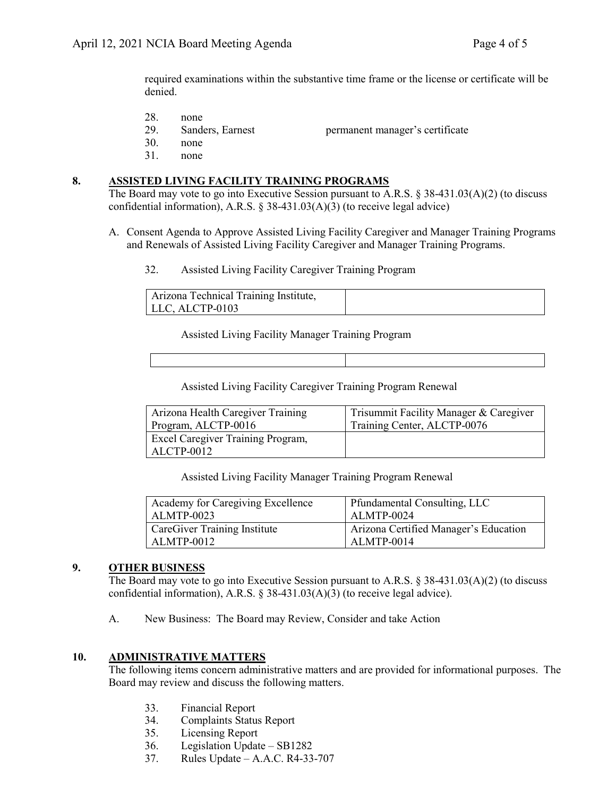required examinations within the substantive time frame or the license or certificate will be denied.

- 28. none
- 29. Sanders, Earnest permanent manager's certificate
- 30. none
- 31. none

#### **8. ASSISTED LIVING FACILITY TRAINING PROGRAMS**

The Board may vote to go into Executive Session pursuant to A.R.S. § 38-431.03(A)(2) (to discuss confidential information), A.R.S.  $\S$  38-431.03(A)(3) (to receive legal advice)

- A. Consent Agenda to Approve Assisted Living Facility Caregiver and Manager Training Programs and Renewals of Assisted Living Facility Caregiver and Manager Training Programs.
	- 32. Assisted Living Facility Caregiver Training Program

| Arizona Technical Training Institute, |  |
|---------------------------------------|--|
| LLC, ALCTP-0103                       |  |

Assisted Living Facility Manager Training Program

Assisted Living Facility Caregiver Training Program Renewal

| Arizona Health Caregiver Training                      | Trisummit Facility Manager & Caregiver |
|--------------------------------------------------------|----------------------------------------|
| Program, ALCTP-0016                                    | Training Center, ALCTP-0076            |
| <b>Excel Caregiver Training Program,</b><br>ALCTP-0012 |                                        |

Assisted Living Facility Manager Training Program Renewal

| Academy for Caregiving Excellence | Pfundamental Consulting, LLC          |
|-----------------------------------|---------------------------------------|
| ALMTP-0023                        | ALMTP-0024                            |
| CareGiver Training Institute      | Arizona Certified Manager's Education |
| ALMTP-0012                        | ALMTP-0014                            |

#### **9. OTHER BUSINESS**

The Board may vote to go into Executive Session pursuant to A.R.S. § 38-431.03(A)(2) (to discuss confidential information), A.R.S. § 38-431.03(A)(3) (to receive legal advice).

A. New Business: The Board may Review, Consider and take Action

#### **10. ADMINISTRATIVE MATTERS**

The following items concern administrative matters and are provided for informational purposes. The Board may review and discuss the following matters.

- 33. Financial Report
- 34. Complaints Status Report
- 35. Licensing Report
- 36. Legislation Update SB1282
- 37. Rules Update A.A.C. R4-33-707